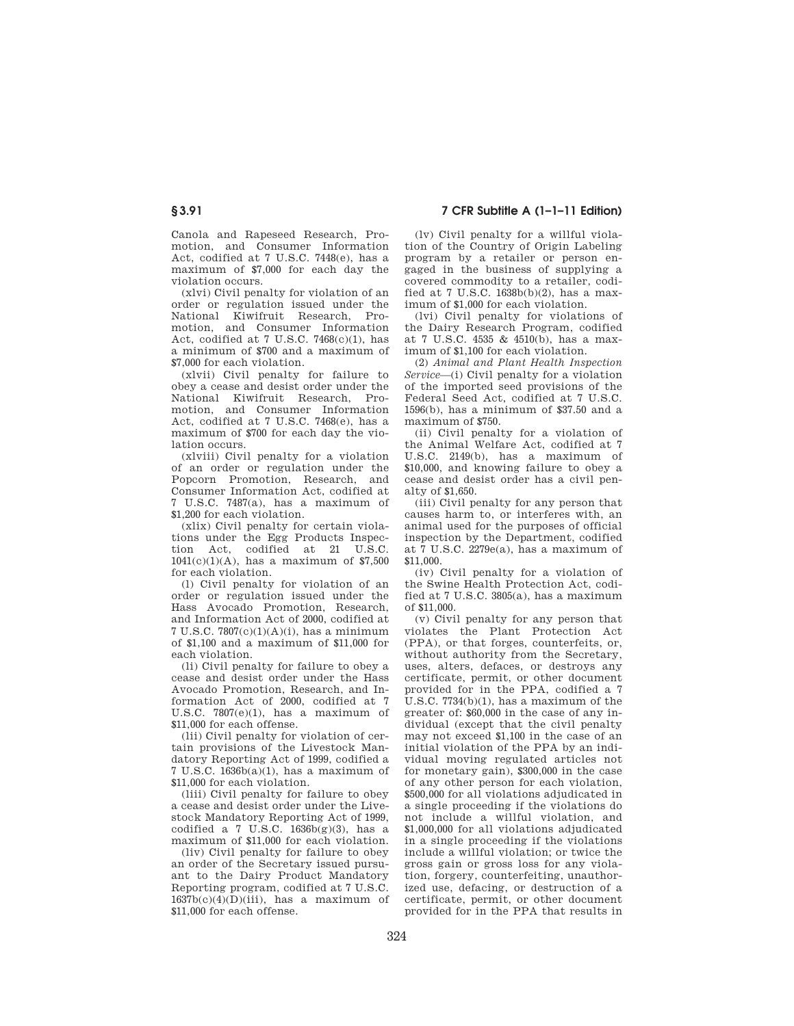Canola and Rapeseed Research, Promotion, and Consumer Information Act, codified at 7 U.S.C. 7448(e), has a maximum of \$7,000 for each day the violation occurs.

(xlvi) Civil penalty for violation of an order or regulation issued under the National Kiwifruit Research, Promotion, and Consumer Information Act, codified at 7 U.S.C. 7468(c)(1), has a minimum of \$700 and a maximum of \$7,000 for each violation.

(xlvii) Civil penalty for failure to obey a cease and desist order under the National Kiwifruit Research, Promotion, and Consumer Information Act, codified at 7 U.S.C. 7468(e), has a maximum of \$700 for each day the violation occurs.

(xlviii) Civil penalty for a violation of an order or regulation under the Popcorn Promotion, Research, and Consumer Information Act, codified at 7 U.S.C. 7487(a), has a maximum of \$1,200 for each violation.

(xlix) Civil penalty for certain violations under the Egg Products Inspection Act, codified at 21 U.S.C.  $1041(c)(1)(A)$ , has a maximum of \$7,500 for each violation.

(l) Civil penalty for violation of an order or regulation issued under the Hass Avocado Promotion, Research, and Information Act of 2000, codified at 7 U.S.C. 7807(c)(1)(A)(i), has a minimum of \$1,100 and a maximum of \$11,000 for each violation.

(li) Civil penalty for failure to obey a cease and desist order under the Hass Avocado Promotion, Research, and Information Act of 2000, codified at 7 U.S.C. 7807(e)(1), has a maximum of \$11,000 for each offense.

(lii) Civil penalty for violation of certain provisions of the Livestock Mandatory Reporting Act of 1999, codified a 7 U.S.C. 1636b(a)(1), has a maximum of \$11,000 for each violation.

(liii) Civil penalty for failure to obey a cease and desist order under the Livestock Mandatory Reporting Act of 1999, codified a 7 U.S.C.  $1636b(g)(3)$ , has a maximum of \$11,000 for each violation.

(liv) Civil penalty for failure to obey an order of the Secretary issued pursuant to the Dairy Product Mandatory Reporting program, codified at 7 U.S.C.  $1637b(c)(4)(D)(iii)$ , has a maximum of \$11,000 for each offense.

(lv) Civil penalty for a willful violation of the Country of Origin Labeling program by a retailer or person engaged in the business of supplying a covered commodity to a retailer, codified at 7 U.S.C. 1638b(b)(2), has a maximum of \$1,000 for each violation.

(lvi) Civil penalty for violations of the Dairy Research Program, codified at 7 U.S.C. 4535 & 4510(b), has a maximum of \$1,100 for each violation.

(2) *Animal and Plant Health Inspection Service*—(i) Civil penalty for a violation of the imported seed provisions of the Federal Seed Act, codified at 7 U.S.C. 1596(b), has a minimum of \$37.50 and a maximum of \$750.

(ii) Civil penalty for a violation of the Animal Welfare Act, codified at 7 U.S.C. 2149(b), has a maximum of \$10,000, and knowing failure to obey a cease and desist order has a civil penalty of \$1,650.

(iii) Civil penalty for any person that causes harm to, or interferes with, an animal used for the purposes of official inspection by the Department, codified at 7 U.S.C. 2279e(a), has a maximum of \$11,000.

(iv) Civil penalty for a violation of the Swine Health Protection Act, codified at 7 U.S.C. 3805(a), has a maximum of \$11,000.

(v) Civil penalty for any person that violates the Plant Protection Act (PPA), or that forges, counterfeits, or, without authority from the Secretary, uses, alters, defaces, or destroys any certificate, permit, or other document provided for in the PPA, codified a 7 U.S.C. 7734(b)(1), has a maximum of the greater of: \$60,000 in the case of any individual (except that the civil penalty may not exceed \$1,100 in the case of an initial violation of the PPA by an individual moving regulated articles not for monetary gain), \$300,000 in the case of any other person for each violation, \$500,000 for all violations adjudicated in a single proceeding if the violations do not include a willful violation, and \$1,000,000 for all violations adjudicated in a single proceeding if the violations include a willful violation; or twice the gross gain or gross loss for any violation, forgery, counterfeiting, unauthorized use, defacing, or destruction of a certificate, permit, or other document provided for in the PPA that results in